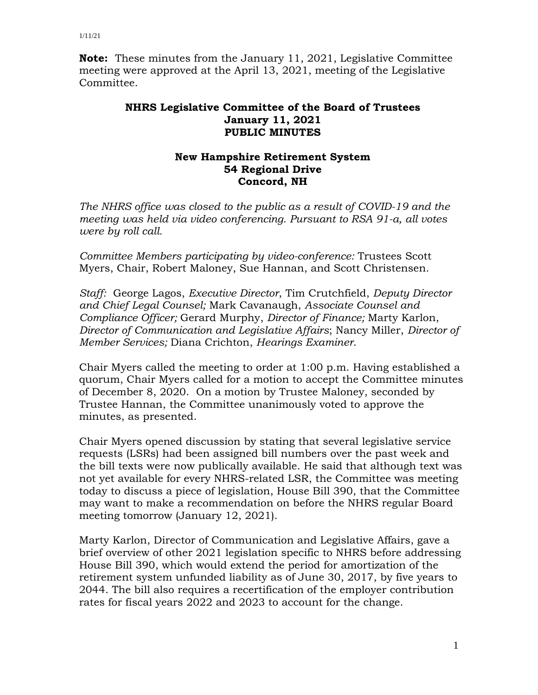**Note:** These minutes from the January 11, 2021, Legislative Committee meeting were approved at the April 13, 2021, meeting of the Legislative Committee.

## **NHRS Legislative Committee of the Board of Trustees January 11, 2021 PUBLIC MINUTES**

## **New Hampshire Retirement System 54 Regional Drive Concord, NH**

*The NHRS office was closed to the public as a result of COVID-19 and the meeting was held via video conferencing. Pursuant to RSA 91-a, all votes were by roll call.*

*Committee Members participating by video-conference:* Trustees Scott Myers, Chair, Robert Maloney, Sue Hannan, and Scott Christensen.

*Staff:* George Lagos, *Executive Director*, Tim Crutchfield, *Deputy Director and Chief Legal Counsel;* Mark Cavanaugh, *Associate Counsel and Compliance Officer;* Gerard Murphy, *Director of Finance;* Marty Karlon, *Director of Communication and Legislative Affairs*; Nancy Miller, *Director of Member Services;* Diana Crichton, *Hearings Examiner*.

Chair Myers called the meeting to order at 1:00 p.m. Having established a quorum, Chair Myers called for a motion to accept the Committee minutes of December 8, 2020. On a motion by Trustee Maloney, seconded by Trustee Hannan, the Committee unanimously voted to approve the minutes, as presented.

Chair Myers opened discussion by stating that several legislative service requests (LSRs) had been assigned bill numbers over the past week and the bill texts were now publically available. He said that although text was not yet available for every NHRS-related LSR, the Committee was meeting today to discuss a piece of legislation, House Bill 390, that the Committee may want to make a recommendation on before the NHRS regular Board meeting tomorrow (January 12, 2021).

Marty Karlon, Director of Communication and Legislative Affairs, gave a brief overview of other 2021 legislation specific to NHRS before addressing House Bill 390, which would extend the period for amortization of the retirement system unfunded liability as of June 30, 2017, by five years to 2044. The bill also requires a recertification of the employer contribution rates for fiscal years 2022 and 2023 to account for the change.